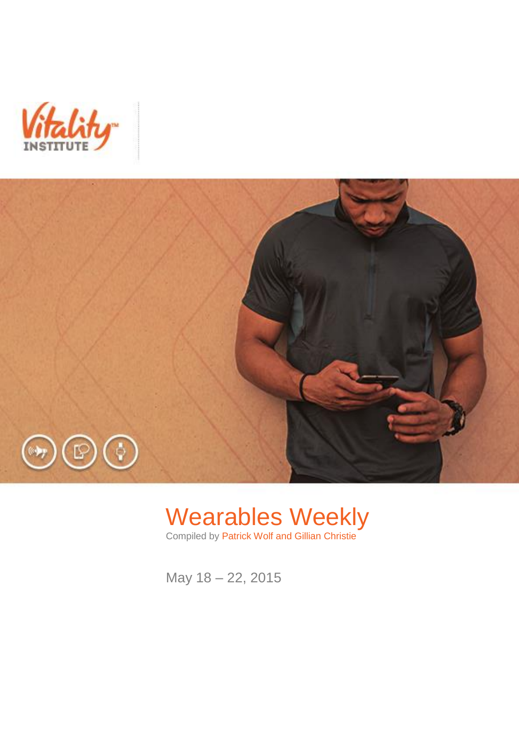



# Wearables Weekly

Compiled by Patrick Wolf and Gillian Christie

May 18 – 22, 2015